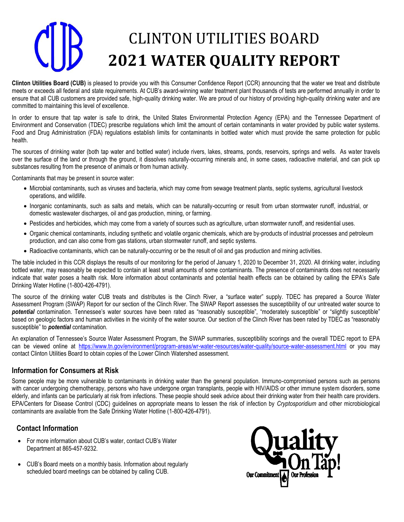# CLINTON UTILITIES BOARD **2021 WATER QUALITY REPORT**

**Clinton Utilities Board (CUB)** is pleased to provide you with this Consumer Confidence Report (CCR) announcing that the water we treat and distribute meets or exceeds all federal and state requirements. At CUB's award-winning water treatment plant thousands of tests are performed annually in order to ensure that all CUB customers are provided safe, high-quality drinking water. We are proud of our history of providing high-quality drinking water and are committed to maintaining this level of excellence.

In order to ensure that tap water is safe to drink, the United States Environmental Protection Agency (EPA) and the Tennessee Department of Environment and Conservation (TDEC) prescribe regulations which limit the amount of certain contaminants in water provided by public water systems. Food and Drug Administration (FDA) regulations establish limits for contaminants in bottled water which must provide the same protection for public health.

The sources of drinking water (both tap water and bottled water) include rivers, lakes, streams, ponds, reservoirs, springs and wells. As water travels over the surface of the land or through the ground, it dissolves naturally-occurring minerals and, in some cases, radioactive material, and can pick up substances resulting from the presence of animals or from human activity.

Contaminants that may be present in source water:

- Microbial contaminants, such as viruses and bacteria, which may come from sewage treatment plants, septic systems, agricultural livestock operations, and wildlife.
- Inorganic contaminants, such as salts and metals, which can be naturally-occurring or result from urban stormwater runoff, industrial, or domestic wastewater discharges, oil and gas production, mining, or farming.
- Pesticides and herbicides, which may come from a variety of sources such as agriculture, urban stormwater runoff, and residential uses.
- Organic chemical contaminants, including synthetic and volatile organic chemicals, which are by-products of industrial processes and petroleum production, and can also come from gas stations, urban stormwater runoff, and septic systems.
- Radioactive contaminants, which can be naturally-occurring or be the result of oil and gas production and mining activities.

The table included in this CCR displays the results of our monitoring for the period of January 1, 2020 to December 31, 2020. All drinking water, including bottled water, may reasonably be expected to contain at least small amounts of some contaminants. The presence of contaminants does not necessarily indicate that water poses a health risk. More information about contaminants and potential health effects can be obtained by calling the EPA's Safe Drinking Water Hotline (1-800-426-4791).

The source of the drinking water CUB treats and distributes is the Clinch River, a "surface water" supply. TDEC has prepared a Source Water Assessment Program (SWAP) Report for our section of the Clinch River. The SWAP Report assesses the susceptibility of our untreated water source to *potential* contamination. Tennessee's water sources have been rated as "reasonably susceptible", "moderately susceptible" or "slightly susceptible" based on geologic factors and human activities in the vicinity of the water source. Our section of the Clinch River has been rated by TDEC as "reasonably susceptible" to *potential* contamination.

An explanation of Tennessee's Source Water Assessment Program, the SWAP summaries, susceptibility scorings and the overall TDEC report to EPA can be viewed online at <https://www.tn.gov/environment/program-areas/wr-water-resources/water-quality/source-water-assessment.html> or you may contact Clinton Utilities Board to obtain copies of the Lower Clinch Watershed assessment.

### **Information for Consumers at Risk**

Some people may be more vulnerable to contaminants in drinking water than the general population. Immuno-compromised persons such as persons with cancer undergoing chemotherapy, persons who have undergone organ transplants, people with HIV/AIDS or other immune system disorders, some elderly, and infants can be particularly at risk from infections. These people should seek advice about their drinking water from their health care providers. EPA/Centers for Disease Control (CDC) guidelines on appropriate means to lessen the risk of infection by *Cryptosporidium* and other microbiological contaminants are available from the Safe Drinking Water Hotline (1-800-426-4791).

## **Contact Information**

- For more information about CUB's water, contact CUB's Water Department at 865-457-9232.
- CUB's Board meets on a monthly basis. Information about regularly scheduled board meetings can be obtained by calling CUB.